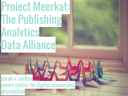## Project Meerkat: The Publishing **Analytics** Data Alliance

sarah v. melton emory center for digital scholarship @svmelton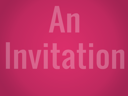# 

## Invitation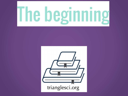## The beginning

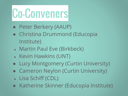## Co-Conveners

- Peter Berkery (AAUP)
- Christina Drummond (Educopia Institute)
- Martin Paul Eve (Birkbeck)
- Kevin Hawkins (UNT)
- Lucy Montgomery (Curtin University)
- Cameron Neylon (Curtin University)
- Lisa Schiff (CDL)
- Katherine Skinner (Educopia Institute)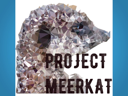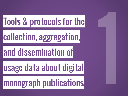### Tools & protocols for the

collection, aggregation,

#### and dissemination of

usage data about digital

### monograph publications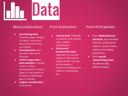

#### *About publications:*

- **purchasing data**: customer type, number of copies, how much they paid, when they purchased
- **licensing data**: who licenses, how much they pay
- **online usage data / web analytics**: number of hits or visits, demographics of users, types of use (search vs. browse vs. download, part vs. whole)
- **subject classification** of products

#### *From institutions:*

- **Library data**: holdings, circulation, link resolver stats, subject classification
- **Structured productivity data** captured in a current research information system (CRIS) / faculty profile system / research profiling tool / research networking too

#### *From third parties:*

- from **bibliometrics services**: journal-level metrics, article-level metrics, author-level metrics (including altmetrics)
- from **social networking sites**: Academia.edu, ResearchGate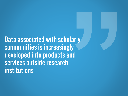Data associated with scholarly communities is increasingly developed into products and services outside research institutions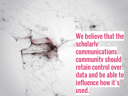We believe that the **Scholarly** communications community should retain control over data and be able to influence how it's used.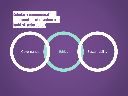Scholarly communications communities of practice can build structures for:

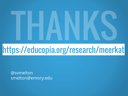# https://educopia.org/research/meerkat

@svmelton smelton@emory.edu